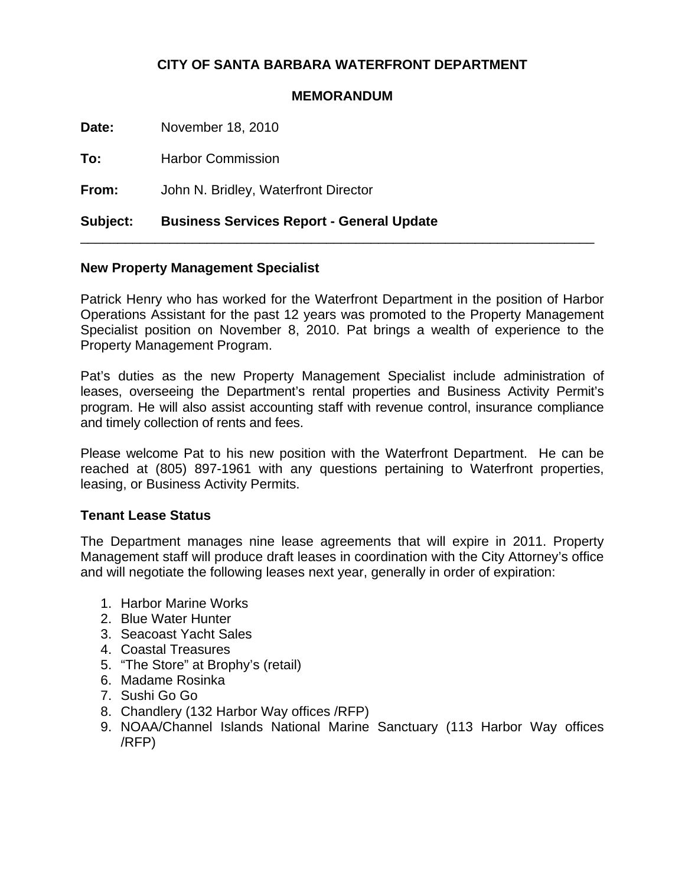# **CITY OF SANTA BARBARA WATERFRONT DEPARTMENT**

#### **MEMORANDUM**

**Date:** November 18, 2010

To: Harbor Commission

**From:** John N. Bridley, Waterfront Director

# **Subject: Business Services Report - General Update**

### **New Property Management Specialist**

Patrick Henry who has worked for the Waterfront Department in the position of Harbor Operations Assistant for the past 12 years was promoted to the Property Management Specialist position on November 8, 2010. Pat brings a wealth of experience to the Property Management Program.

\_\_\_\_\_\_\_\_\_\_\_\_\_\_\_\_\_\_\_\_\_\_\_\_\_\_\_\_\_\_\_\_\_\_\_\_\_\_\_\_\_\_\_\_\_\_\_\_\_\_\_\_\_\_\_\_\_\_\_\_\_\_\_\_\_\_\_\_\_

Pat's duties as the new Property Management Specialist include administration of leases, overseeing the Department's rental properties and Business Activity Permit's program. He will also assist accounting staff with revenue control, insurance compliance and timely collection of rents and fees.

Please welcome Pat to his new position with the Waterfront Department. He can be reached at (805) 897-1961 with any questions pertaining to Waterfront properties, leasing, or Business Activity Permits.

### **Tenant Lease Status**

The Department manages nine lease agreements that will expire in 2011. Property Management staff will produce draft leases in coordination with the City Attorney's office and will negotiate the following leases next year, generally in order of expiration:

- 1. Harbor Marine Works
- 2. Blue Water Hunter
- 3. Seacoast Yacht Sales
- 4. Coastal Treasures
- 5. "The Store" at Brophy's (retail)
- 6. Madame Rosinka
- 7. Sushi Go Go
- 8. Chandlery (132 Harbor Way offices /RFP)
- 9. NOAA/Channel Islands National Marine Sanctuary (113 Harbor Way offices /RFP)